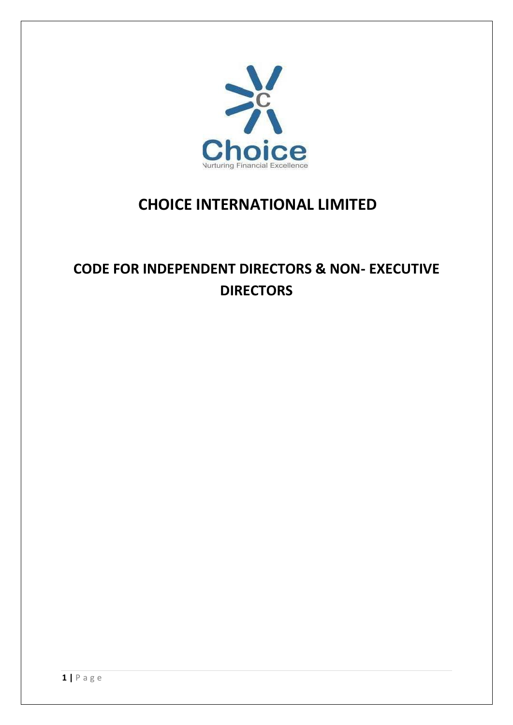

## **CHOICE INTERNATIONAL LIMITED**

# **CODE FOR INDEPENDENT DIRECTORS & NON- EXECUTIVE DIRECTORS**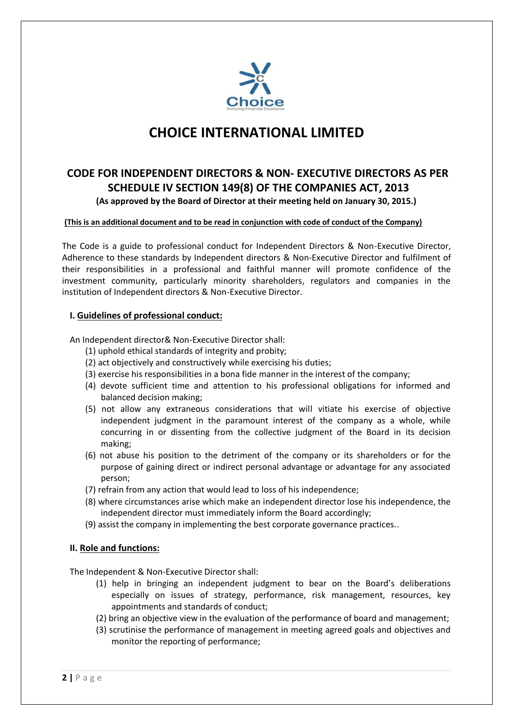

### **CHOICE INTERNATIONAL LIMITED**

### **CODE FOR INDEPENDENT DIRECTORS & NON- EXECUTIVE DIRECTORS AS PER SCHEDULE IV SECTION 149(8) OF THE COMPANIES ACT, 2013 (As approved by the Board of Director at their meeting held on January 30, 2015.)**

#### **(This is an additional document and to be read in conjunction with code of conduct of the Company)**

The Code is a guide to professional conduct for Independent Directors & Non-Executive Director, Adherence to these standards by Independent directors & Non-Executive Director and fulfilment of their responsibilities in a professional and faithful manner will promote confidence of the investment community, particularly minority shareholders, regulators and companies in the institution of Independent directors & Non-Executive Director.

#### **I. Guidelines of professional conduct:**

An Independent director& Non-Executive Director shall:

- (1) uphold ethical standards of integrity and probity;
- (2) act objectively and constructively while exercising his duties;
- (3) exercise his responsibilities in a bona fide manner in the interest of the company;
- (4) devote sufficient time and attention to his professional obligations for informed and balanced decision making;
- (5) not allow any extraneous considerations that will vitiate his exercise of objective independent judgment in the paramount interest of the company as a whole, while concurring in or dissenting from the collective judgment of the Board in its decision making;
- (6) not abuse his position to the detriment of the company or its shareholders or for the purpose of gaining direct or indirect personal advantage or advantage for any associated person;
- (7) refrain from any action that would lead to loss of his independence;
- (8) where circumstances arise which make an independent director lose his independence, the independent director must immediately inform the Board accordingly;
- (9) assist the company in implementing the best corporate governance practices..

#### **II. Role and functions:**

The Independent & Non-Executive Director shall:

- (1) help in bringing an independent judgment to bear on the Board's deliberations especially on issues of strategy, performance, risk management, resources, key appointments and standards of conduct;
- (2) bring an objective view in the evaluation of the performance of board and management;
- (3) scrutinise the performance of management in meeting agreed goals and objectives and monitor the reporting of performance;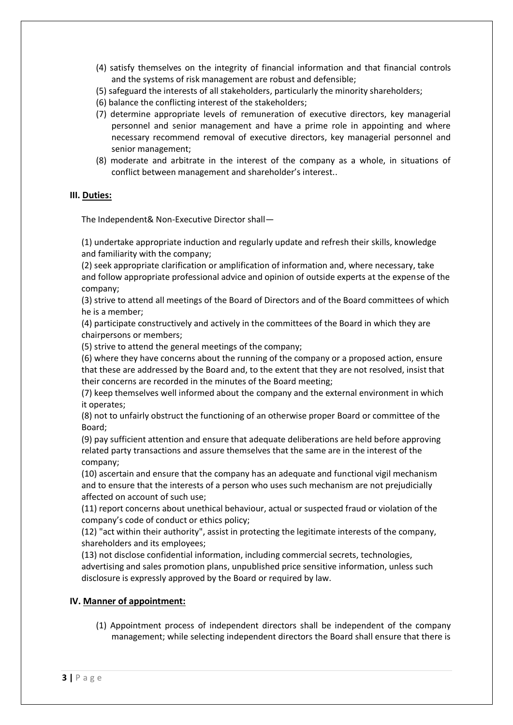- (4) satisfy themselves on the integrity of financial information and that financial controls and the systems of risk management are robust and defensible;
- (5) safeguard the interests of all stakeholders, particularly the minority shareholders;
- (6) balance the conflicting interest of the stakeholders;
- (7) determine appropriate levels of remuneration of executive directors, key managerial personnel and senior management and have a prime role in appointing and where necessary recommend removal of executive directors, key managerial personnel and senior management;
- (8) moderate and arbitrate in the interest of the company as a whole, in situations of conflict between management and shareholder's interest..

#### **III. Duties:**

The Independent& Non-Executive Director shall—

(1) undertake appropriate induction and regularly update and refresh their skills, knowledge and familiarity with the company;

(2) seek appropriate clarification or amplification of information and, where necessary, take and follow appropriate professional advice and opinion of outside experts at the expense of the company;

(3) strive to attend all meetings of the Board of Directors and of the Board committees of which he is a member;

(4) participate constructively and actively in the committees of the Board in which they are chairpersons or members;

(5) strive to attend the general meetings of the company;

(6) where they have concerns about the running of the company or a proposed action, ensure that these are addressed by the Board and, to the extent that they are not resolved, insist that their concerns are recorded in the minutes of the Board meeting;

(7) keep themselves well informed about the company and the external environment in which it operates;

(8) not to unfairly obstruct the functioning of an otherwise proper Board or committee of the Board;

(9) pay sufficient attention and ensure that adequate deliberations are held before approving related party transactions and assure themselves that the same are in the interest of the company;

(10) ascertain and ensure that the company has an adequate and functional vigil mechanism and to ensure that the interests of a person who uses such mechanism are not prejudicially affected on account of such use;

(11) report concerns about unethical behaviour, actual or suspected fraud or violation of the company's code of conduct or ethics policy;

(12) "act within their authority", assist in protecting the legitimate interests of the company, shareholders and its employees;

(13) not disclose confidential information, including commercial secrets, technologies, advertising and sales promotion plans, unpublished price sensitive information, unless such disclosure is expressly approved by the Board or required by law.

#### **IV. Manner of appointment:**

(1) Appointment process of independent directors shall be independent of the company management; while selecting independent directors the Board shall ensure that there is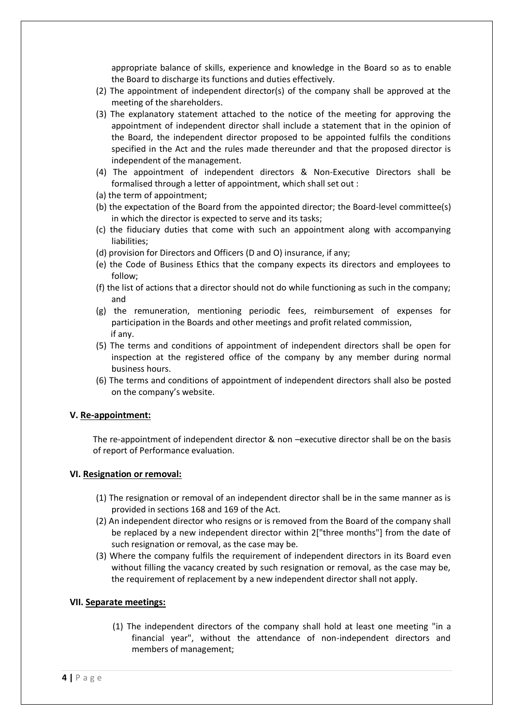appropriate balance of skills, experience and knowledge in the Board so as to enable the Board to discharge its functions and duties effectively.

- (2) The appointment of independent director(s) of the company shall be approved at the meeting of the shareholders.
- (3) The explanatory statement attached to the notice of the meeting for approving the appointment of independent director shall include a statement that in the opinion of the Board, the independent director proposed to be appointed fulfils the conditions specified in the Act and the rules made thereunder and that the proposed director is independent of the management.
- (4) The appointment of independent directors & Non-Executive Directors shall be formalised through a letter of appointment, which shall set out :
- (a) the term of appointment;
- (b) the expectation of the Board from the appointed director; the Board-level committee(s) in which the director is expected to serve and its tasks;
- (c) the fiduciary duties that come with such an appointment along with accompanying liabilities;
- (d) provision for Directors and Officers (D and O) insurance, if any;
- (e) the Code of Business Ethics that the company expects its directors and employees to follow;
- (f) the list of actions that a director should not do while functioning as such in the company; and
- (g) the remuneration, mentioning periodic fees, reimbursement of expenses for participation in the Boards and other meetings and profit related commission, if any.
- (5) The terms and conditions of appointment of independent directors shall be open for inspection at the registered office of the company by any member during normal business hours.
- (6) The terms and conditions of appointment of independent directors shall also be posted on the company's website.

#### **V. Re-appointment:**

The re-appointment of independent director & non –executive director shall be on the basis of report of Performance evaluation.

#### **VI. Resignation or removal:**

- (1) The resignation or removal of an independent director shall be in the same manner as is provided in sections 168 and 169 of the Act.
- (2) An independent director who resigns or is removed from the Board of the company shall be replaced by a new independent director within 2["three months"] from the date of such resignation or removal, as the case may be.
- (3) Where the company fulfils the requirement of independent directors in its Board even without filling the vacancy created by such resignation or removal, as the case may be, the requirement of replacement by a new independent director shall not apply.

#### **VII. Separate meetings:**

(1) The independent directors of the company shall hold at least one meeting "in a financial year", without the attendance of non-independent directors and members of management;